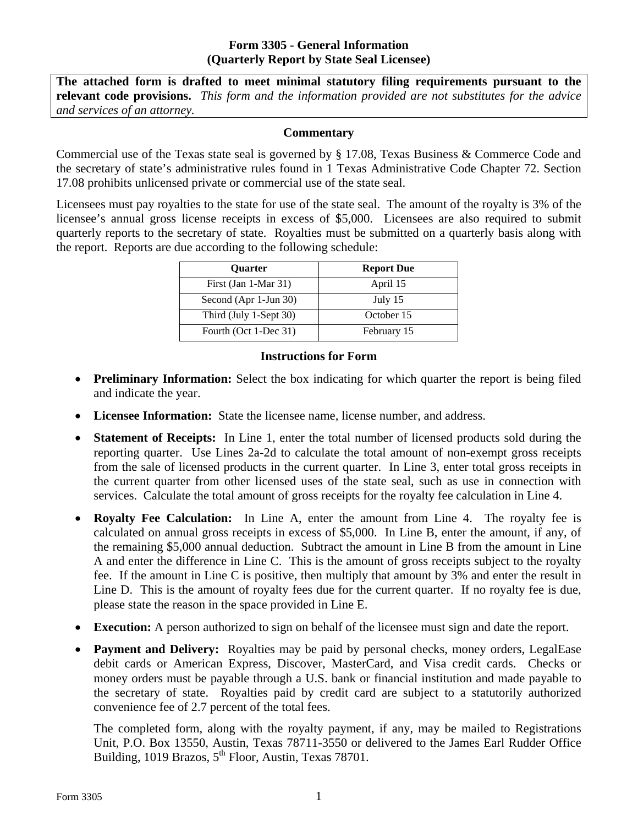## **Form 3305 - General Information (Quarterly Report by State Seal Licensee)**

 **relevant code provisions.** *This form and the information provided are not substitutes for the advice*  **The attached form is drafted to meet minimal statutory filing requirements pursuant to the**  *and services of an attorney.* 

## **Commentary**

Commercial use of the Texas state seal is governed by § 17.08, Texas Business & Commerce Code and the secretary of state's administrative rules found in 1 Texas Administrative Code Chapter 72. Section 17.08 prohibits unlicensed private or commercial use of the state seal.

Licensees must pay royalties to the state for use of the state seal. The amount of the royalty is 3% of the licensee's annual gross license receipts in excess of \$5,000. Licensees are also required to submit quarterly reports to the secretary of state. Royalties must be submitted on a quarterly basis along with the report. Reports are due according to the following schedule:

| <b>Ouarter</b>         | <b>Report Due</b> |
|------------------------|-------------------|
| First (Jan 1-Mar 31)   | April 15          |
| Second (Apr 1-Jun 30)  | July 15           |
| Third (July 1-Sept 30) | October 15        |
| Fourth (Oct 1-Dec 31)  | February 15       |

## **Instructions for Form**

- **Preliminary Information:** Select the box indicating for which quarter the report is being filed and indicate the year.
- **Licensee Information:** State the licensee name, license number, and address.
- **Statement of Receipts:** In Line 1, enter the total number of licensed products sold during the reporting quarter. Use Lines 2a-2d to calculate the total amount of non-exempt gross receipts from the sale of licensed products in the current quarter. In Line 3, enter total gross receipts in the current quarter from other licensed uses of the state seal, such as use in connection with services. Calculate the total amount of gross receipts for the royalty fee calculation in Line 4.
- **Royalty Fee Calculation:** In Line A, enter the amount from Line 4. The royalty fee is calculated on annual gross receipts in excess of \$5,000. In Line B, enter the amount, if any, of the remaining \$5,000 annual deduction. Subtract the amount in Line B from the amount in Line A and enter the difference in Line C. This is the amount of gross receipts subject to the royalty fee. If the amount in Line C is positive, then multiply that amount by 3% and enter the result in Line D. This is the amount of royalty fees due for the current quarter. If no royalty fee is due, please state the reason in the space provided in Line E.
- **Execution:** A person authorized to sign on behalf of the licensee must sign and date the report.
- Payment and Delivery: Royalties may be paid by personal checks, money orders, LegalEase debit cards or American Express, Discover, MasterCard, and Visa credit cards. Checks or money orders must be payable through a U.S. bank or financial institution and made payable to the secretary of state. Royalties paid by credit card are subject to a statutorily authorized convenience fee of 2.7 percent of the total fees.

The completed form, along with the royalty payment, if any, may be mailed to Registrations Unit, P.O. Box 13550, Austin, Texas 78711-3550 or delivered to the James Earl Rudder Office Building, 1019 Brazos,  $5<sup>th</sup>$  Floor, Austin, Texas 78701.